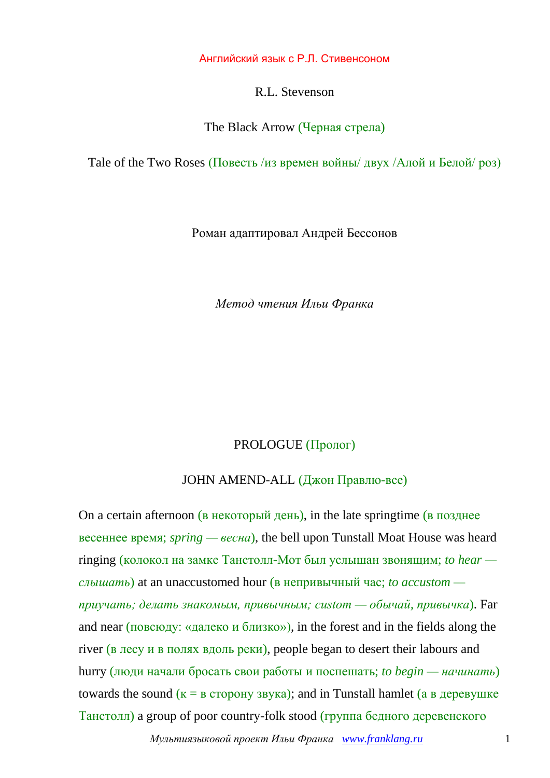## Английский язык с Р.Л. Стивенсоном

R.L. Stevenson

The Black Arrow (Черная стрела)

Tale of the Two Roses (Повесть /из времен войны/ двух /Алой и Белой/ роз)

Роман адаптировал Андрей Бессонов

*Метод чтения Ильи Франка*

## PROLOGUE (Пролог)

JOHN AMEND-ALL (Джон Правлю-все)

On a certain afternoon (в некоторый день), in the late springtime (в позднее весеннее время; *spring — весна*), the bell upon Tunstall Moat House was heard ringing (колокол на замке Танстолл-Мот был услышан звонящим; *to hear слышать*) at an unaccustomed hour (в непривычный час; *to accustom приучать; делать знакомым, привычным; custom — обычай, привычка*). Far and near (повсюду: «далеко и близко»), in the forest and in the fields along the river (в лесу и в полях вдоль реки), people began to desert their labours and hurry (люди начали бросать свои работы и поспешать; *to begin — начинать*) towards the sound  $(\kappa = B \text{ ctop} \omega)$ ; and in Tunstall hamlet (а в деревушке Танстолл) a group of poor country-folk stood (группа бедного деревенского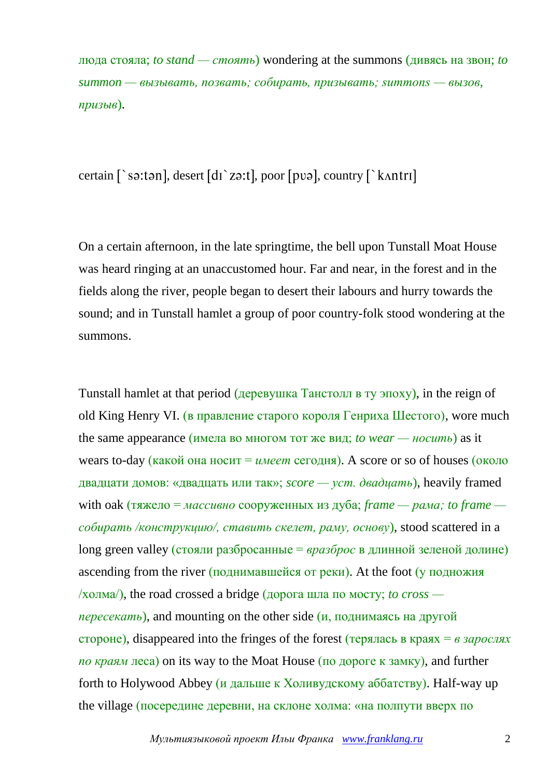люда стояла; *to stand — стоять*) wondering at the summons (дивясь на звон; *to summon — вызывать, позвать; собирать, призывать; summons — вызов, призыв*).

certain  $\lceil$  `so:ton], desert  $\lceil d \rceil$  `zo:t], poor  $\lceil \text{pv} \rceil$ , country  $\lceil$  `kʌntrɪ]

On a certain afternoon, in the late springtime, the bell upon Tunstall Moat House was heard ringing at an unaccustomed hour. Far and near, in the forest and in the fields along the river, people began to desert their labours and hurry towards the sound; and in Tunstall hamlet a group of poor country-folk stood wondering at the summons.

Tunstall hamlet at that period (деревушка Танстолл в ту эпоху), in the reign of old King Henry VI. (в правление старого короля Генриха Шестого), wore much the same appearance (имела во многом тот же вид; *to wear — носить*) as it wears to-day (какой она носит = *имеет* сегодня). A score or so of houses (около двадцати домов: «двадцать или так»; *score — уст. двадцать*), heavily framed with oak (тяжело = массивно сооруженных из дуба; *frame — рама; to frame собирать /конструкцию/, ставить скелет, раму, основу*), stood scattered in a long green valley (стояли разбросанные = *вразброс* в длинной зеленой долине) ascending from the river  $(n_{O,HUMABIII}$  and  $n_{O,HOMI}$ . At the foot  $(y_{HOMHOMI}$ /холма/), the road crossed a bridge (дорога шла по мосту; *to cross пересекать*), and mounting on the other side (и, поднимаясь на другой стороне), disappeared into the fringes of the forest (терялась в краях = *в зарослях по краям* леса) on its way to the Moat House (по дороге к замку), and further forth to Holywood Abbey (и дальше к Холивудскому аббатству). Half-way up the village (посередине деревни, на склоне холма: «на полпути вверх по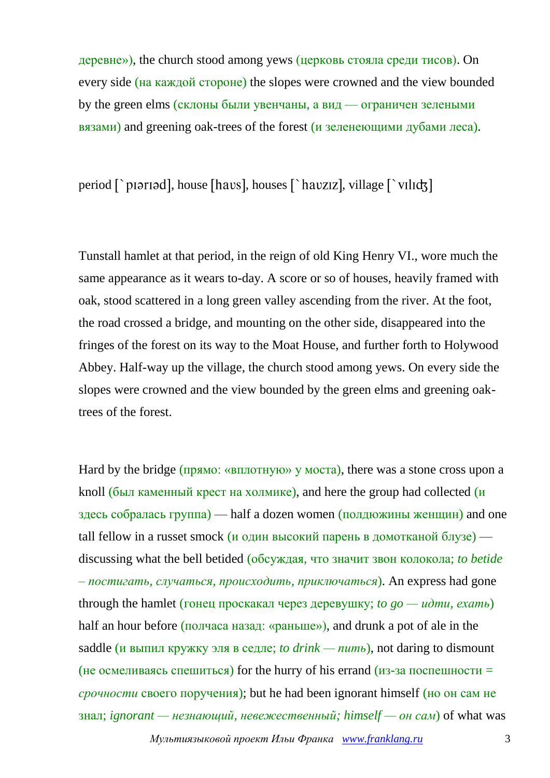деревне»), the church stood among yews (церковь стояла среди тисов). On every side (на каждой стороне) the slopes were crowned and the view bounded by the green elms (склоны были увенчаны, а вид — ограничен зелеными вязами) and greening oak-trees of the forest (и зеленеющими дубами леса).

## period [`piəriəd], house [havs], houses [`havziz], village [`vilidʒ]

Tunstall hamlet at that period, in the reign of old King Henry VI., wore much the same appearance as it wears to-day. A score or so of houses, heavily framed with oak, stood scattered in a long green valley ascending from the river. At the foot, the road crossed a bridge, and mounting on the other side, disappeared into the fringes of the forest on its way to the Moat House, and further forth to Holywood Abbey. Half-way up the village, the church stood among yews. On every side the slopes were crowned and the view bounded by the green elms and greening oaktrees of the forest.

Hard by the bridge (прямо: «вплотную» у моста), there was a stone cross upon a knoll (был каменный крест на холмике), and here the group had collected  $(u)$ здесь собралась группа) — half a dozen women (полдюжины женщин) and one tall fellow in a russet smock (и один высокий парень в домотканой блузе) discussing what the bell betided (обсуждая, что значит звон колокола; *to betide – постигать, случаться, происходить, приключаться*). An express had gone through the hamlet (гонец проскакал через деревушку; *to go — идти, examb*) half an hour before (полчаса назад: «раньше»), and drunk a pot of ale in the saddle (и выпил кружку эля в седле; *to drink — пить*), not daring to dismount (не осмеливаясь спешиться) for the hurry of his errand (из-за поспешности  $=$ *срочности* своего поручения); but he had been ignorant himself (но он сам не знал; *ignorant — незнающий, невежественный; himself — он сам*) of what was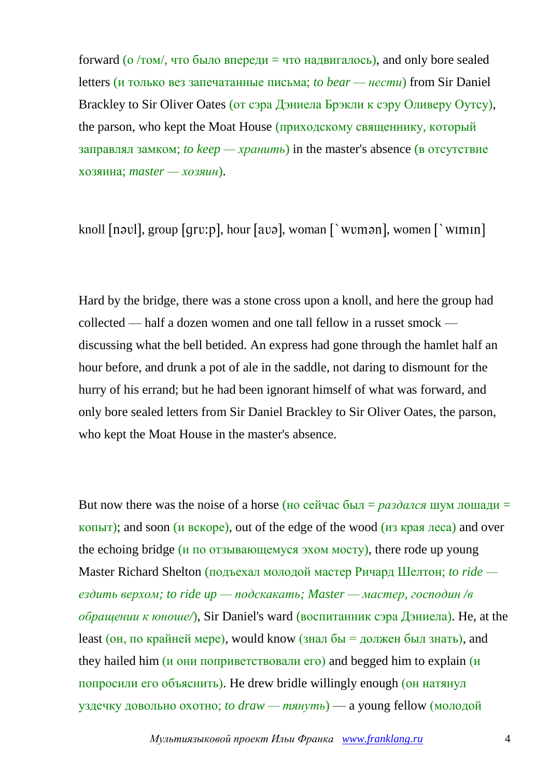forward (о  $/$ том $/$ , что было впереди = что надвигалось), and only bore sealed letters (и только вез запечатанные письма; *to bear — нести*) from Sir Daniel Brackley to Sir Oliver Oates (от сэра Дэниела Брэкли к сэру Оливеру Оутсу), the parson, who kept the Moat House (приходскому священнику, который заправлял замком; *to keep — хранить*) in the master's absence (в отсутствие хозяина; *master — хозяин*).

knoll  $[nqv]$ , group  $[qrv:p]$ , hour  $[awq]$ , woman  $\lceil wv \rceil$ , women  $\lceil wv \rceil$ 

Hard by the bridge, there was a stone cross upon a knoll, and here the group had collected — half a dozen women and one tall fellow in a russet smock discussing what the bell betided. An express had gone through the hamlet half an hour before, and drunk a pot of ale in the saddle, not daring to dismount for the hurry of his errand; but he had been ignorant himself of what was forward, and only bore sealed letters from Sir Daniel Brackley to Sir Oliver Oates, the parson, who kept the Moat House in the master's absence.

But now there was the noise of a horse (<u>но сейчас был</u> = *раздался* шум лошади = копыт); and soon (и вскоре), out of the edge of the wood (из края леса) and over the echoing bridge ( $\mu$  по отзывающемуся эхом мосту), there rode up young Master Richard Shelton (подъехал молодой мастер Ричард Шелтон; *to ride ездить верхом; to ride up — подскакать; Master — мастер, господин /в обращении к юноше/*), Sir Daniel's ward (воспитанник сэра Дэниела). He, at the least (он, по крайней мере), would know (знал бы = должен был знать), and they hailed him (и они поприветствовали его) and begged him to explain (и попросили его объяснить). He drew bridle willingly enough (он натянул уздечку довольно охотно; *to draw — тянуть*) — a young fellow (молодой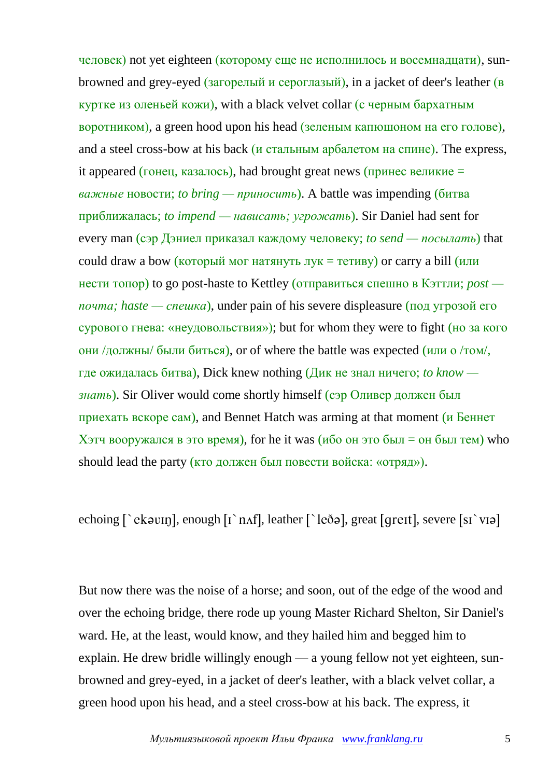человек) not yet eighteen (которому еще не исполнилось и восемнадцати), sunbrowned and grey-eyed (загорелый и сероглазый), in a jacket of deer's leather (в куртке из оленьей кожи), with a black velvet collar (с черным бархатным воротником), a green hood upon his head (зеленым капюшоном на его голове), and a steel cross-bow at his back (и стальным арбалетом на спине). The express, it appeared (гонец, казалось), had brought great news (принес великие  $=$ *важные* новости; *to bring — приносить*). A battle was impending (битва приближалась; *to impend — нависать; угрожать*). Sir Daniel had sent for every man (сэр Дэниел приказал каждому человеку; *to send — посылать*) that could draw a bow (который мог натянуть лук = тетиву) or carry a bill (или нести топор) to go post-haste to Kettley (отправиться спешно в Кэттли; *post почта; haste — спешка*), under pain of his severe displeasure (под угрозой его сурового гнева: «неудовольствия»); but for whom they were to fight (но за кого они /должны/ были биться), or of where the battle was expected (или о /том/, где ожидалась битва), Dick knew nothing (Дик не знал ничего; *to know знать*). Sir Oliver would come shortly himself (сэр Оливер должен был приехать вскоре сам), and Bennet Hatch was arming at that moment (и Беннет Хэтч вооружался в это время), for he it was (ибо он это был = он был тем) who should lead the party (кто должен был повести войска: «отряд»).

echoing  $\lceil \cdot e \cdot \text{koun} \rceil$ , enough  $\lceil \cdot \text{na} \rceil$ , leather  $\lceil \cdot \text{leðə} \rceil$ , great  $\lceil \text{qreit} \rceil$ , severe  $\lceil \text{si} \cdot \text{va} \rceil$ 

But now there was the noise of a horse; and soon, out of the edge of the wood and over the echoing bridge, there rode up young Master Richard Shelton, Sir Daniel's ward. He, at the least, would know, and they hailed him and begged him to explain. He drew bridle willingly enough — a young fellow not yet eighteen, sunbrowned and grey-eyed, in a jacket of deer's leather, with a black velvet collar, a green hood upon his head, and a steel cross-bow at his back. The express, it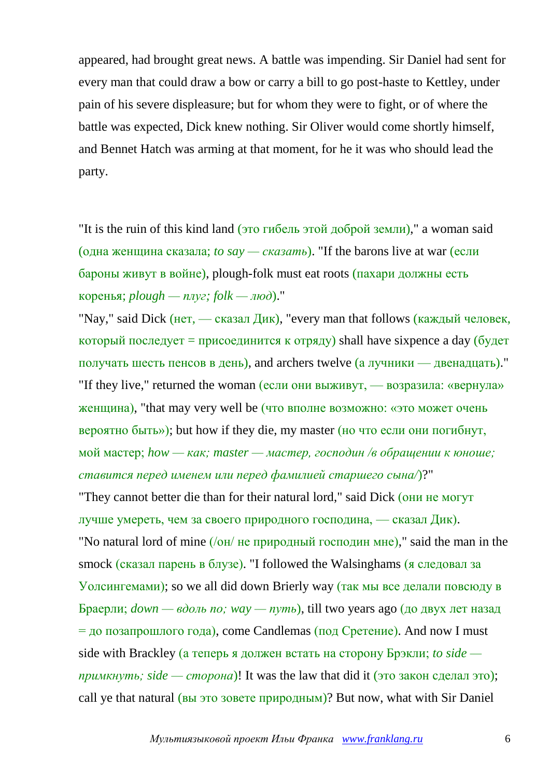appeared, had brought great news. A battle was impending. Sir Daniel had sent for every man that could draw a bow or carry a bill to go post-haste to Kettley, under pain of his severe displeasure; but for whom they were to fight, or of where the battle was expected, Dick knew nothing. Sir Oliver would come shortly himself, and Bennet Hatch was arming at that moment, for he it was who should lead the party.

"It is the ruin of this kind land (это гибель этой доброй земли)," a woman said (одна женщина сказала; *to say — сказать*). "If the barons live at war (если бароны живут в войне), plough-folk must eat roots (пахари должны есть коренья; *plough — плуг; folk — люд*)."

"Nay," said Dick (нет, — сказал Дик), "every man that follows (каждый человек, который последует = присоединится к отряду) shall have sixpence a day (будет получать шесть пенсов в день), and archers twelve (а лучники — двенадцать)." "If they live," returned the woman (если они выживут, — возразила: «вернула» женщина), "that may very well be (что вполне возможно: «это может очень вероятно быть»); but how if they die, my master (но что если они погибнут, мой мастер; *how — как; master — мастер, господин /в обращении к юноше; ставится перед именем или перед фамилией старшего сына/*)?"

"They cannot better die than for their natural lord," said Dick (они не могут лучше умереть, чем за своего природного господина, — сказал Дик). "No natural lord of mine  $/$ он/ не природный господин мне)," said the man in the smock (сказал парень в блузе). "I followed the Walsinghams (я следовал за Уолсингемами); so we all did down Brierly way (так мы все делали повсюду в Браерли;  $down \rightarrow e$ доль по; way — *путь*), till two years ago (до двух лет назад  $=$  до позапрошлого года), come Candlemas (под Сретение). And now I must side with Brackley (а теперь я должен встать на сторону Брэкли; *to side примкнуть; side — сторона*)! It was the law that did it (это закон сделал это); call ye that natural (**вы** это зовете природным)? But now, what with Sir Daniel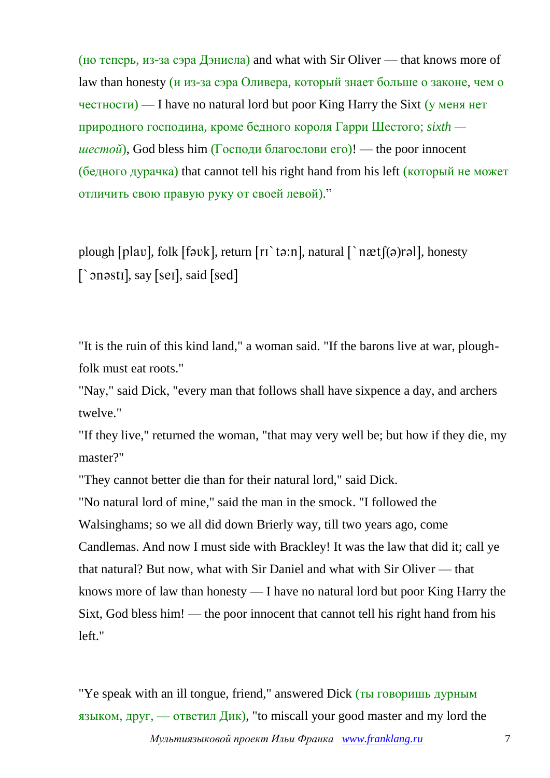(но теперь, из-за сэра Дэниела) and what with Sir Oliver — that knows more of law than honesty (и из-за сэра Оливера, который знает больше о законе, чем о честности) — I have no natural lord but poor King Harry the Sixt (у меня нет природного господина, кроме бедного короля Гарри Шестого; *sixth шестой*), God bless him (Господи благослови его)! — the poor innocent (бедного дурачка) that cannot tell his right hand from his left (который не может отличить свою правую руку от своей левой)."

plough [plav], folk [fəvk], return  $[ri$  tə:n], natural  $[$  n $ætf(ə)$ rəl], honesty  $\lceil$  `onasti], say [sei], said [sed]

"It is the ruin of this kind land," a woman said. "If the barons live at war, ploughfolk must eat roots."

"Nay," said Dick, "every man that follows shall have sixpence a day, and archers twelve."

"If they live," returned the woman, "that may very well be; but how if they die, my master?"

"They cannot better die than for their natural lord," said Dick.

"No natural lord of mine," said the man in the smock. "I followed the Walsinghams; so we all did down Brierly way, till two years ago, come Candlemas. And now I must side with Brackley! It was the law that did it; call ye that natural? But now, what with Sir Daniel and what with Sir Oliver — that knows more of law than honesty — I have no natural lord but poor King Harry the Sixt, God bless him! — the poor innocent that cannot tell his right hand from his left."

"Ye speak with an ill tongue, friend," answered Dick (ты говоришь дурным языком, друг, — ответил Дик), "to miscall your good master and my lord the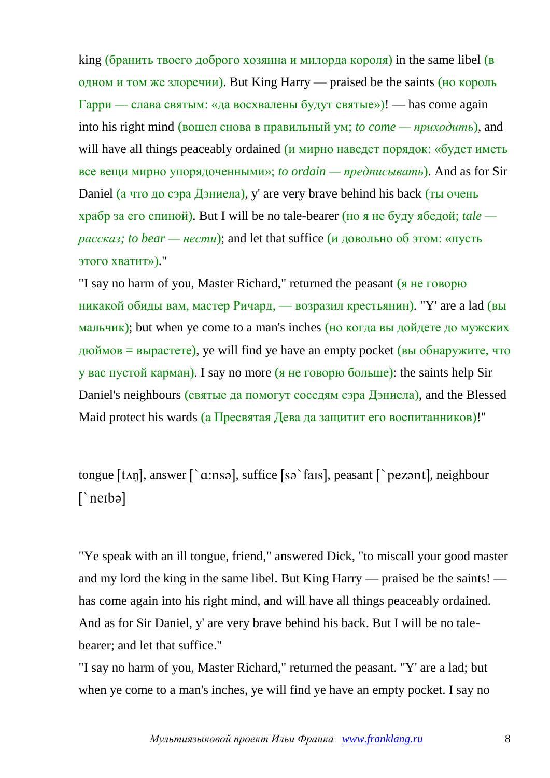king (бранить твоего доброго хозяина и милорда короля) in the same libel (в одном и том же злоречии). But King Harry — praised be the saints (но король Гарри — слава святым: «да восхвалены будут святые»)! — has come again into his right mind (вошел снова в правильный ум; *to come — приходить*), and will have all things peaceably ordained (и мирно наведет порядок: «будет иметь все вещи мирно упорядоченными»; *to ordain — предписывать*). And as for Sir Daniel (а что до сэра Дэниела), y' are very brave behind his back (ты очень храбр за его спиной). But I will be no tale-bearer (но я не буду ябедой; *tale рассказ; to bear — нести*); and let that suffice (и довольно об этом: «пусть этого хватит»)."

"I say no harm of you, Master Richard," returned the peasant (я не говорю никакой обиды вам, мастер Ричард, — возразил крестьянин). "Y' are a lad (вы мальчик); but when ye come to a man's inches (но когда вы дойдете до мужских дюймов = вырастете), ye will find ye have an empty pocket (вы обнаружите, что у вас пустой карман). I say no more (я не говорю больше): the saints help Sir Daniel's neighbours (святые да помогут соседям сэра Дэниела), and the Blessed Maid protect his wards (а Пресвятая Дева да защитит его воспитанников)!"

tongue  $[t \land n]$ , answer  $\lceil \land \text{a} : n \circ \text{a} \rceil$ , suffice  $\lceil \text{sa} \land \text{f} \rceil$ , peasant  $\lceil \land \text{pezant} \rceil$ , neighbour  $\lceil$ `neibə]

"Ye speak with an ill tongue, friend," answered Dick, "to miscall your good master and my lord the king in the same libel. But King Harry — praised be the saints! has come again into his right mind, and will have all things peaceably ordained. And as for Sir Daniel, y' are very brave behind his back. But I will be no talebearer; and let that suffice."

"I say no harm of you, Master Richard," returned the peasant. "Y' are a lad; but when ye come to a man's inches, ye will find ye have an empty pocket. I say no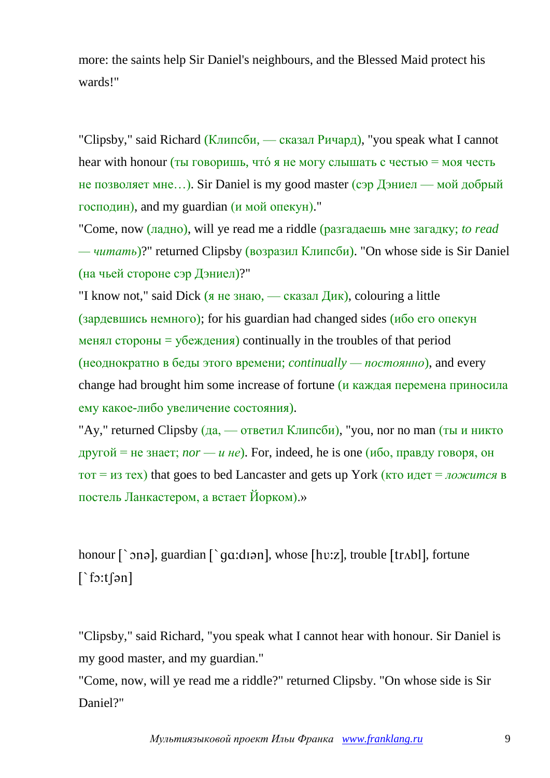more: the saints help Sir Daniel's neighbours, and the Blessed Maid protect his wards!"

"Clipsby," said Richard (Клипсби, — сказал Ричард), "you speak what I cannot hear with honour (ты говоришь, что я не могу слышать с честью = моя честь не позволяет мне...). Sir Daniel is my good master (сэр Дэниел — мой добрый господин), and my guardian  $(\mu \text{ moй}$  опекун)."

"Come, now (ладно), will ye read me a riddle (разгадаешь мне загадку; *to read — читать*)?" returned Clipsby (возразил Клипсби). "On whose side is Sir Daniel (на чьей стороне сэр Дэниел)?"

"I know not," said Dick (я не знаю, — сказал Дик), colouring a little (зардевшись немного); for his guardian had changed sides (ибо его опекун менял стороны  $=$  убеждения) continually in the troubles of that period (неоднократно в беды этого времени; *continually — постоянно*), and every change had brought him some increase of fortune (и каждая перемена приносила ему какое-либо увеличение состояния).

"Ау," returned Clipsby  $(a_4 \rightarrow a_5)$  – ответил Клипсби), "you, nor no man (ты и никто другой = не знает; *nor — и не*). For, indeed, he is one (ибо, правду говоря, он тот = из тех) that goes to bed Lancaster and gets up York (кто идет = *ложится* в постель Ланкастером, а встает Йорком).»

honour  $\lceil$  `onə], guardian  $\lceil$  `qq:diən], whose  $\lceil$ hv:z], trouble  $\lceil$ tr $\Delta$ bl], fortune  $\lceil$ fo:t $\lceil$ ən $\rceil$ 

"Clipsby," said Richard, "you speak what I cannot hear with honour. Sir Daniel is my good master, and my guardian."

"Come, now, will ye read me a riddle?" returned Clipsby. "On whose side is Sir Daniel?"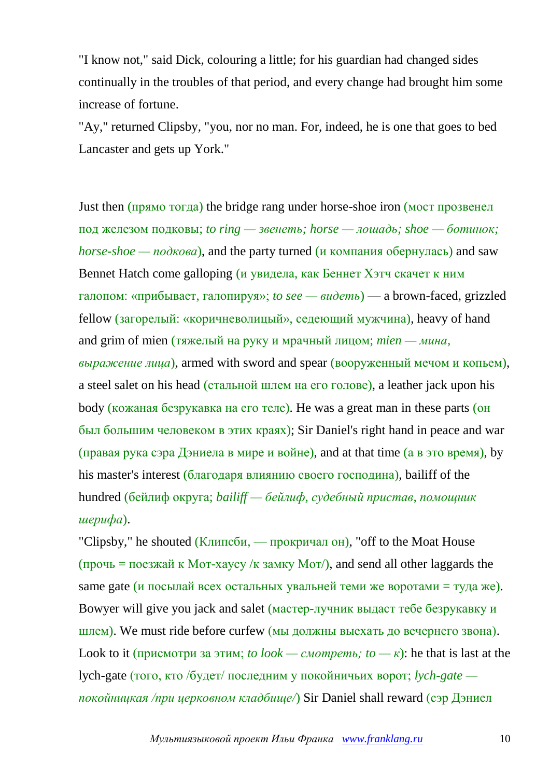"I know not," said Dick, colouring a little; for his guardian had changed sides continually in the troubles of that period, and every change had brought him some increase of fortune.

"Ay," returned Clipsby, "you, nor no man. For, indeed, he is one that goes to bed Lancaster and gets up York."

Just then (прямо тогда) the bridge rang under horse-shoe iron (мост прозвенел под железом подковы; *to ring — звенеть; horse — лошадь; shoe — ботинок; horse-shoe — подкова*), and the party turned (и компания обернулась) and saw Bennet Hatch come galloping (и увидела, как Беннет Хэтч скачет к ним галопом: «прибывает, галопируя»; *to see — видеть*) — a brown-faced, grizzled fellow (загорелый: «коричневолицый», седеющий мужчина), heavy of hand and grim of mien (тяжелый на руку и мрачный лицом; *mien — мина, выражение лица*), armed with sword and spear (вооруженный мечом и копьем), a steel salet on his head (стальной шлем на его голове), a leather jack upon his body (кожаная безрукавка на его теле). He was a great man in these parts (он был большим человеком в этих краях); Sir Daniel's right hand in peace and war (правая рука сэра Дэниела в мире и войне), and at that time (а в это время), by his master's interest (благодаря влиянию своего господина), bailiff of the hundred (бейлиф округа; *bailiff — бейлиф, судебный пристав, помощник шерифа*).

"Clipsby," he shouted  $(K\pi\pi\pi\epsilon_0 - \pi\pi)$  (критичал он), "off to the Moat House" (прочь = поезжай к Мот-хаусу /к замку Мот/), and send all other laggards the same gate (и посылай всех остальных увальней теми же воротами = туда же). Bowyer will give you jack and salet (мастер-лучник выдаст тебе безрукавку и шлем). We must ride before curfew (мы должны выехать до вечернего звона). Look to it (присмотри за этим; *to look — смотреть; to — к*): he that is last at the lych-gate (того, кто /будет/ последним у покойничьих ворот; *lych-gate покойницкая /при церковном кладбище/*) Sir Daniel shall reward (сэр Дэниел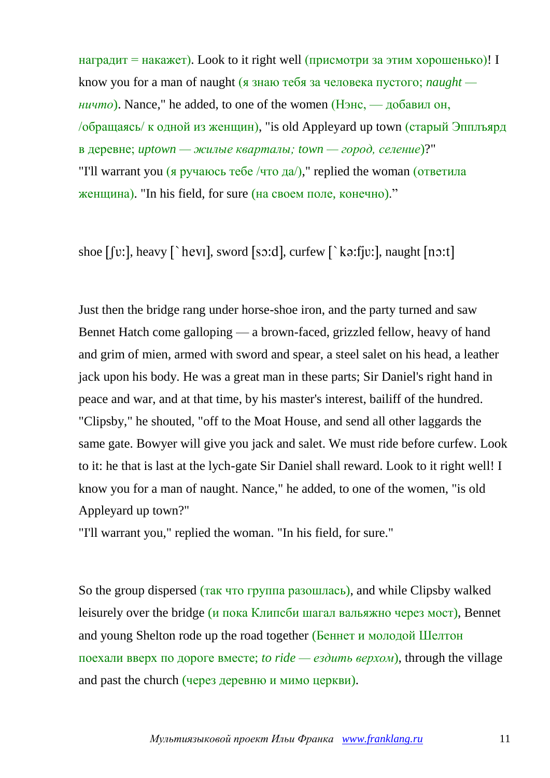наградит = накажет). Look to it right well (присмотри за этим хорошенько)! I know you for a man of naught (я знаю тебя за человека пустого; *naught —*  $\mu\mu\mu\eta$ ). Nance," he added, to one of the women  $(H_{\rm 3HC}, -\mu_{\rm 00}$ бавил он, /обращаясь/ к одной из женщин), "is old Appleyard up town (старый Эпплъярд в деревне; *uptown — жилые кварталы; town — город, селение*)?" "I'll warrant you (я ручаюсь тебе /что да)," replied the woman (ответила женщина). "In his field, for sure (на своем поле, конечно)."

shoe  $[[v:], \text{heavy } [\text{'hev1}], \text{sword } [\text{so:d}], \text{curfew } [\text{'ko:fiv:}], \text{naught } [\text{no:tl}]$ 

Just then the bridge rang under horse-shoe iron, and the party turned and saw Bennet Hatch come galloping — a brown-faced, grizzled fellow, heavy of hand and grim of mien, armed with sword and spear, a steel salet on his head, a leather jack upon his body. He was a great man in these parts; Sir Daniel's right hand in peace and war, and at that time, by his master's interest, bailiff of the hundred. "Clipsby," he shouted, "off to the Moat House, and send all other laggards the same gate. Bowyer will give you jack and salet. We must ride before curfew. Look to it: he that is last at the lych-gate Sir Daniel shall reward. Look to it right well! I know you for a man of naught. Nance," he added, to one of the women, "is old Appleyard up town?"

"I'll warrant you," replied the woman. "In his field, for sure."

So the group dispersed (так что группа разошлась), and while Clipsby walked leisurely over the bridge (и пока Клипсби шагал вальяжно через мост), Bennet and young Shelton rode up the road together (Беннет и молодой Шелтон поехали вверх по дороге вместе; *to ride — ездить верхом*), through the village and past the church (через деревню и мимо церкви).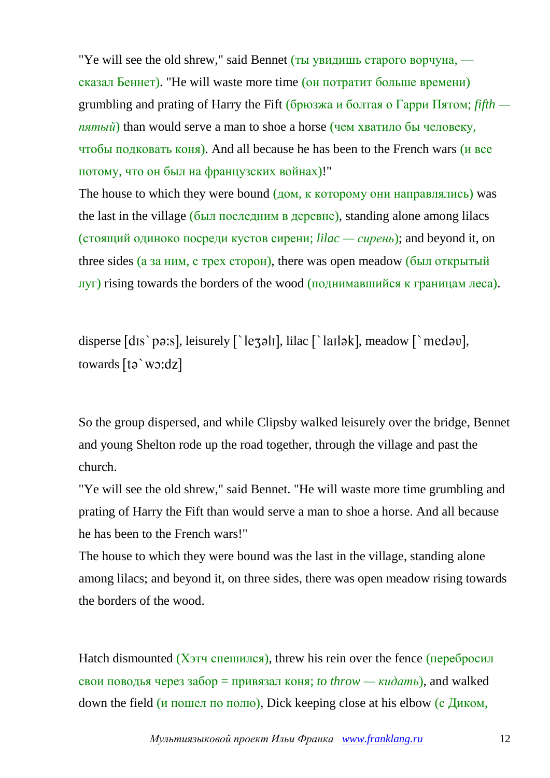"Ye will see the old shrew," said Bennet (ты увидишь старого ворчуна, сказал Беннет). "He will waste more time (он потратит больше времени) grumbling and prating of Harry the Fift (брюзжа и болтая о Гарри Пятом; *fifth пятый*) than would serve a man to shoe a horse (чем хватило бы человеку, чтобы подковать коня). And all because he has been to the French wars (и все потому, что он был на французских войнах)!"

The house to which they were bound (дом, к которому они направлялись) was the last in the village (был последним в деревне), standing alone among lilacs (стоящий одиноко посреди кустов сирени; *lilac — сирень*); and beyond it, on three sides (а за ним, с трех сторон), there was open meadow (был открытый луг) rising towards the borders of the wood (поднимавшийся к границам леса).

disperse  $[dis\rangle$  pə:s], leisurely  $[\angle$ lezəl $\Box$ ], lilac  $[\angle$ la $\Box$ label, meadow  $[\angle$ medəv], towards [tə`wɔ:dz]

So the group dispersed, and while Clipsby walked leisurely over the bridge, Bennet and young Shelton rode up the road together, through the village and past the church.

"Ye will see the old shrew," said Bennet. "He will waste more time grumbling and prating of Harry the Fift than would serve a man to shoe a horse. And all because he has been to the French wars!"

The house to which they were bound was the last in the village, standing alone among lilacs; and beyond it, on three sides, there was open meadow rising towards the borders of the wood.

Hatch dismounted (Хэтч спешился), threw his rein over the fence (перебросил свои поводья через забор = привязал коня; *to throw — кидать*), and walked down the field (и пошел по полю), Dick keeping close at his elbow (с Диком,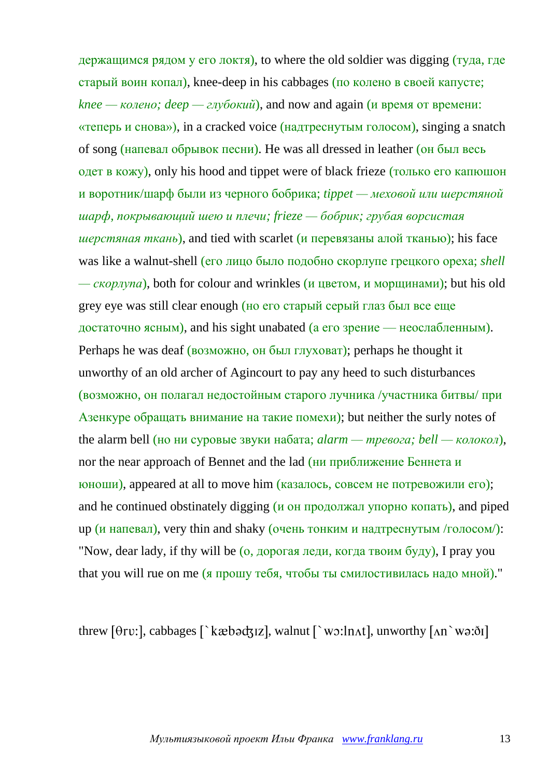держащимся рядом у его локтя), to where the old soldier was digging (туда, где старый воин копал), knee-deep in his cabbages (по колено в своей капусте;  $knee$  — *колено; deep* — *глубокий*), and now and again (и время от времени: «теперь и снова»), in a cracked voice (надтреснутым голосом), singing a snatch of song (напевал обрывок песни). He was all dressed in leather (он был весь одет в кожу), only his hood and tippet were of black frieze (только его капюшон и воротник/шарф были из черного бобрика; *tippet — меховой или шерстяной шарф, покрывающий шею и плечи; frieze — бобрик; грубая ворсистая шерстяная ткань*), and tied with scarlet (и перевязаны алой тканью); his face was like a walnut-shell (его лицо было подобно скорлупе грецкого ореха; *shell — скорлупа*), both for colour and wrinkles (и цветом, и морщинами); but his old grey eye was still clear enough (но его старый серый глаз был все еще достаточно ясным), and his sight unabated (а его зрение — неослабленным). Perhaps he was deaf (возможно, он был глуховат); perhaps he thought it unworthy of an old archer of Agincourt to pay any heed to such disturbances (возможно, он полагал недостойным старого лучника /участника битвы/ при Азенкуре обращать внимание на такие помехи); but neither the surly notes of the alarm bell (но ни суровые звуки набата; *alarm — тревога; bell — колокол*), nor the near approach of Bennet and the lad (ни приближение Беннета и юноши), appeared at all to move him (казалось, совсем не потревожили его); and he continued obstinately digging (и он продолжал упорно копать), and piped up (и напевал), very thin and shaky (очень тонким и надтреснутым /голосом/): "Now, dear lady, if thy will be (о, дорогая леди, когда твоим буду), I pray you that you will rue on me (я прошу тебя, чтобы ты смилостивилась надо мной)."

threw  $[0rv!]$ , cabbages  $\lceil \n\cdot \text{kebədziz}\rceil$ , walnut  $\lceil \n\cdot \text{wə:lnxt}\rceil$ , unworthy  $\lceil \text{An} \cdot \text{wə:ði}\rceil$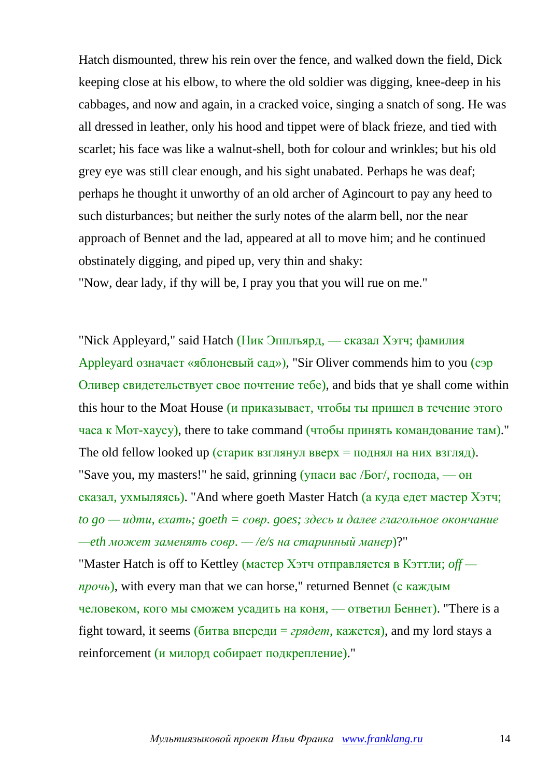Hatch dismounted, threw his rein over the fence, and walked down the field, Dick keeping close at his elbow, to where the old soldier was digging, knee-deep in his cabbages, and now and again, in a cracked voice, singing a snatch of song. He was all dressed in leather, only his hood and tippet were of black frieze, and tied with scarlet; his face was like a walnut-shell, both for colour and wrinkles; but his old grey eye was still clear enough, and his sight unabated. Perhaps he was deaf; perhaps he thought it unworthy of an old archer of Agincourt to pay any heed to such disturbances; but neither the surly notes of the alarm bell, nor the near approach of Bennet and the lad, appeared at all to move him; and he continued obstinately digging, and piped up, very thin and shaky:

"Now, dear lady, if thy will be, I pray you that you will rue on me."

"Nick Appleyard," said Hatch (Ник Эпплъярд, — сказал Хэтч; фамилия Appleyard означает «яблоневый сад»), "Sir Oliver commends him to you (сэр Оливер свидетельствует свое почтение тебе), and bids that ye shall come within this hour to the Moat House (и приказывает, чтобы ты пришел в течение этого часа к Мот-хаусу), there to take command (чтобы принять командование там)." The old fellow looked up (старик взглянул вверх = поднял на них взгляд). "Save you, my masters!" he said, grinning (упаси вас /Бог/, господа, — он сказал, ухмыляясь). "And where goeth Master Hatch (а куда едет мастер Хэтч; *to go — идти, ехать; goeth = совр. goes; здесь и далее глагольное окончание —eth может заменять совр. — /e/s на старинный манер*)?"

"Master Hatch is off to Kettley (мастер Хэтч отправляется в Кэттли; *off прочь*), with every man that we can horse," returned Bennet (с каждым человеком, кого мы сможем усадить на коня, — ответил Беннет). "There is a fight toward, it seems (битва впереди = *грядет*, кажется), and my lord stays a reinforcement (и милорд собирает подкрепление)."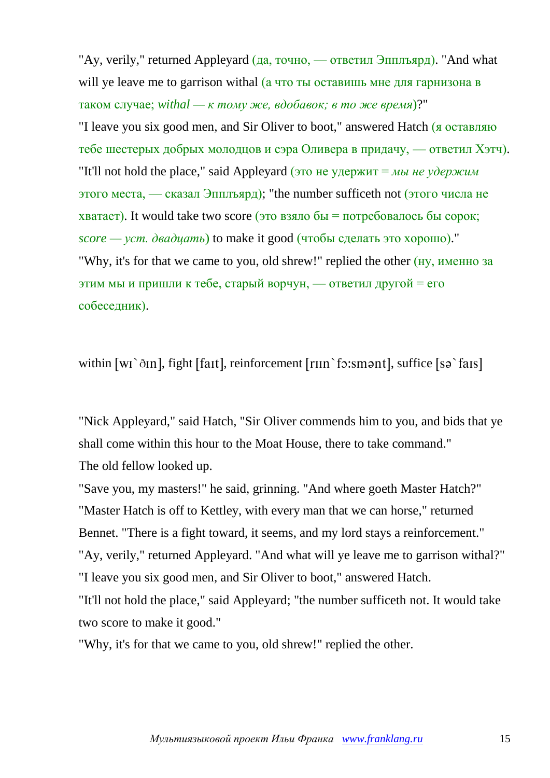"Ay, verily," returned Appleyard  $(a, a, a)$ , точно, — ответил Эпплъярд). "And what will ye leave me to garrison withal (а что ты оставишь мне для гарнизона в таком случае; *withal — к тому же, вдобавок; в то же время*)?" "I leave you six good men, and Sir Oliver to boot," answered Hatch (я оставляю тебе шестерых добрых молодцов и сэра Оливера в придачу, — ответил Хэтч). "It'll not hold the place," said Appleyard (это не удержит = *мы не удержим* этого места, — сказал Эпплъярд); "the number sufficeth not (этого числа не хватает). It would take two score (это взяло бы = потребовалось бы сорок; *score — уст. двадцать*) to make it good (чтобы сделать это хорошо)." "Why, it's for that we came to you, old shrew!" replied the other (ну, именно за этим мы и пришли к тебе, старый ворчун, — ответил другой = его собеседник).

within  $[w_1 \text{`on}],$  fight  $[fat],$  reinforcement  $[r_1]$  fo: smant $]$ , suffice  $[s_2 \text{`fais}]$ 

"Nick Appleyard," said Hatch, "Sir Oliver commends him to you, and bids that ye shall come within this hour to the Moat House, there to take command." The old fellow looked up.

"Save you, my masters!" he said, grinning. "And where goeth Master Hatch?" "Master Hatch is off to Kettley, with every man that we can horse," returned Bennet. "There is a fight toward, it seems, and my lord stays a reinforcement." "Ay, verily," returned Appleyard. "And what will ye leave me to garrison withal?" "I leave you six good men, and Sir Oliver to boot," answered Hatch. "It'll not hold the place," said Appleyard; "the number sufficeth not. It would take

two score to make it good."

"Why, it's for that we came to you, old shrew!" replied the other.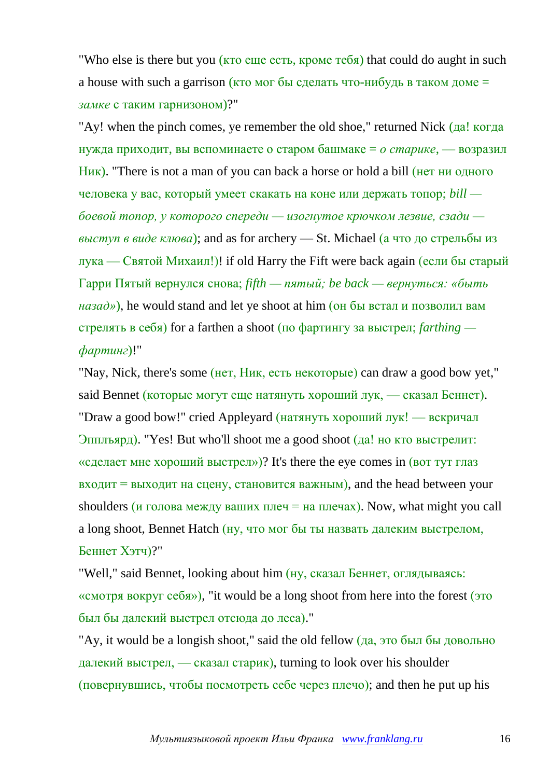"Who else is there but you (кто еще есть, кроме тебя) that could do aught in such a house with such a garrison (кто мог бы сделать что-нибудь в таком доме  $=$ *замке* с таким гарнизоном)?"

"Ay! when the pinch comes, ye remember the old shoe," returned Nick (да! когда нужда приходит, вы вспоминаете о старом башмаке = *о старике*, — возразил Ник). "There is not a man of you can back a horse or hold a bill (нет ни одного человека у вас, который умеет скакать на коне или держать топор; *bill боевой топор, у которого спереди — изогнутое крючком лезвие, сзади выступ в виде клюва*); and as for archery — St. Michael (а что до стрельбы из лука — Святой Михаил!)! if old Harry the Fift were back again (если бы старый Гарри Пятый вернулся снова; *fifth — пятый; be back — вернуться: «быть назад»*), he would stand and let ye shoot at him (он бы встал и позволил вам стрелять в себя) for a farthen a shoot (по фартингу за выстрел; *farthing фартинг*)!"

"Nay, Nick, there's some (нет, Ник, есть некоторые) can draw a good bow yet," said Bennet (которые могут еще натянуть хороший лук, — сказал Беннет). "Draw a good bow!" cried Appleyard (натянуть хороший лук! — вскричал Эпплъярд). "Yes! But who'll shoot me a good shoot  $\left(\frac{\pi a!}{\pi a!}\right)$  но кто выстрелит: «сделает мне хороший выстрел»)? It's there the eye comes in (вот тут глаз  $BXOJU = BEXOJU$  на сцену, становится важным), and the head between your shoulders (и голова между ваших плеч = на плечах). Now, what might you call a long shoot, Bennet Hatch (ну, что мог бы ты назвать далеким выстрелом, Беннет Хэтч)?"

"Well," said Bennet, looking about him (ну, сказал Беннет, оглядываясь: «смотря вокруг себя»), "it would be a long shoot from here into the forest (это был бы далекий выстрел отсюда до леса)."

"Ay, it would be a longish shoot," said the old fellow  $\left(\frac{\pi a}{\pi a}\right)$  это был бы довольно далекий выстрел, — сказал старик), turning to look over his shoulder (повернувшись, чтобы посмотреть себе через плечо); and then he put up his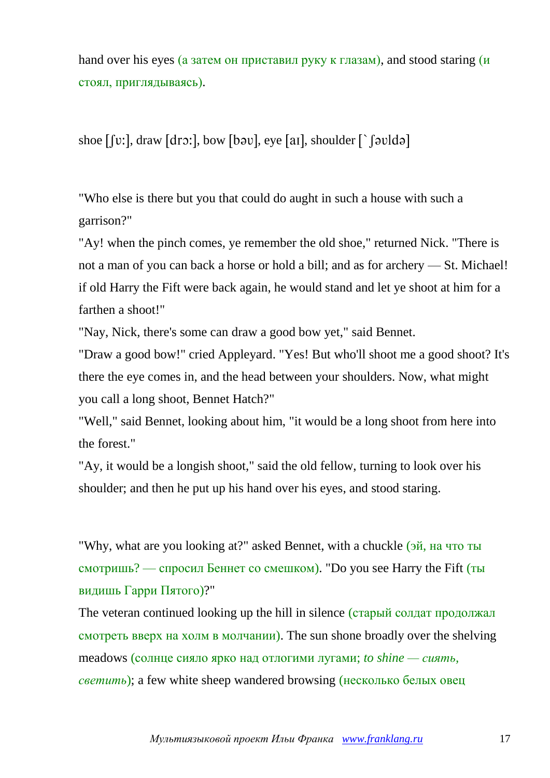hand over his eyes (а затем он приставил руку к глазам), and stood staring (и стоял, приглядываясь).

shoe  $[[v:], \text{draw} [dr:], \text{bow} [b \infty], \text{eye} [a:], \text{shoulder} [\\ ]$ 

"Who else is there but you that could do aught in such a house with such a garrison?"

"Ay! when the pinch comes, ye remember the old shoe," returned Nick. "There is not a man of you can back a horse or hold a bill; and as for archery — St. Michael! if old Harry the Fift were back again, he would stand and let ye shoot at him for a farthen a shoot!"

"Nay, Nick, there's some can draw a good bow yet," said Bennet.

"Draw a good bow!" cried Appleyard. "Yes! But who'll shoot me a good shoot? It's there the eye comes in, and the head between your shoulders. Now, what might you call a long shoot, Bennet Hatch?"

"Well," said Bennet, looking about him, "it would be a long shoot from here into the forest."

"Ay, it would be a longish shoot," said the old fellow, turning to look over his shoulder; and then he put up his hand over his eyes, and stood staring.

"Why, what are you looking at?" asked Bennet, with a chuckle (эй, на что ты смотришь? — спросил Беннет со смешком). "Do you see Harry the Fift (ты видишь Гарри Пятого)?"

The veteran continued looking up the hill in silence (старый солдат продолжал смотреть вверх на холм в молчании). The sun shone broadly over the shelving meadows (солнце сияло ярко над отлогими лугами; *to shine — сиять, светить*); a few white sheep wandered browsing (несколько белых овец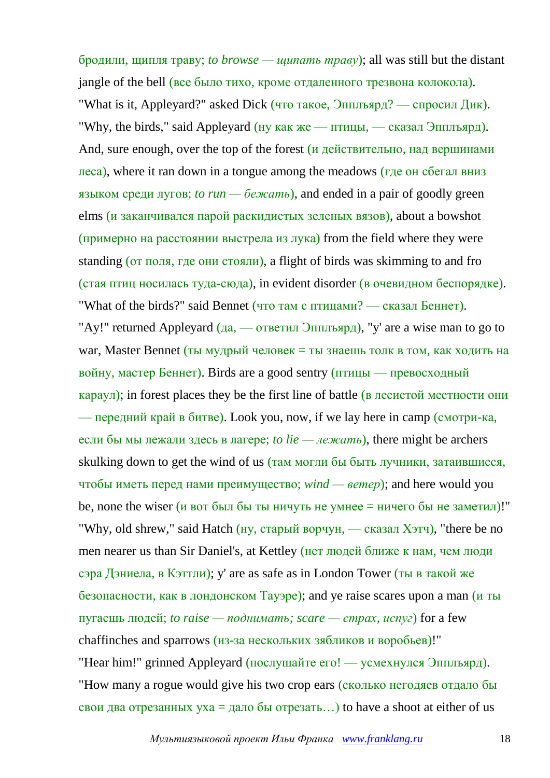бродили, щипля траву; *to browse — щипать траву*); all was still but the distant jangle of the bell (все было тихо, кроме отдаленного трезвона колокола). "What is it, Appleyard?" asked Dick (что такое, Эпплъярд? — спросил Дик). "Why, the birds," said Appleyard (ну как же — птицы, — сказал Эпплъярд). And, sure enough, over the top of the forest (и действительно, над вершинами леса), where it ran down in a tongue among the meadows (где он сбегал вниз языком среди лугов; *to run — бежать*), and ended in a pair of goodly green elms (и заканчивался парой раскидистых зеленых вязов), about a bowshot (примерно на расстоянии выстрела из лука) from the field where they were standing (от поля, где они стояли), a flight of birds was skimming to and fro (стая птиц носилась туда-сюда), in evident disorder (в очевидном беспорядке). "What of the birds?" said Bennet (что там с птицами? — сказал Беннет). "Ay!" returned Appleyard  $\left(\frac{\pi a}{4} - \frac{\pi a}{\pi a}\right)$  Эпплъярд), "y' are a wise man to go to war, Master Bennet (ты мудрый человек = ты знаешь толк в том, как ходить на войну, мастер Беннет). Birds are a good sentry  $($ птицы — превосходный караул); in forest places they be the first line of battle (в лесистой местности они — передний край в битве). Look you, now, if we lay here in camp (смотри-ка, если бы мы лежали здесь в лагере; *to lie — лежать*), there might be archers skulking down to get the wind of us (там могли бы быть лучники, затаившиеся, чтобы иметь перед нами преимущество; *wind — ветер*); and here would you be, none the wiser (*и* вот был бы ты ничуть не умнее = ничего бы не заметил)!" "Why, old shrew," said Hatch (ну, старый ворчун, — сказал Хэтч), "there be no men nearer us than Sir Daniel's, at Kettley (нет людей ближе к нам, чем люди сэра Дэниела, в Кэттли); y' are as safe as in London Tower (ты в такой же безопасности, как в лондонском Тауэре); and ye raise scares upon a man (и ты пугаешь людей; *to raise — поднимать; scare — страх, испуг*) for a few chaffinches and sparrows (из-за нескольких зябликов и воробьев)!" "Hear him!" grinned Appleyard (послушайте его! — усмехнулся Эпплъярд). "How many a rogue would give his two crop ears (сколько негодяев отдало бы свои два отрезанных уха = дало бы отрезать...) to have a shoot at either of us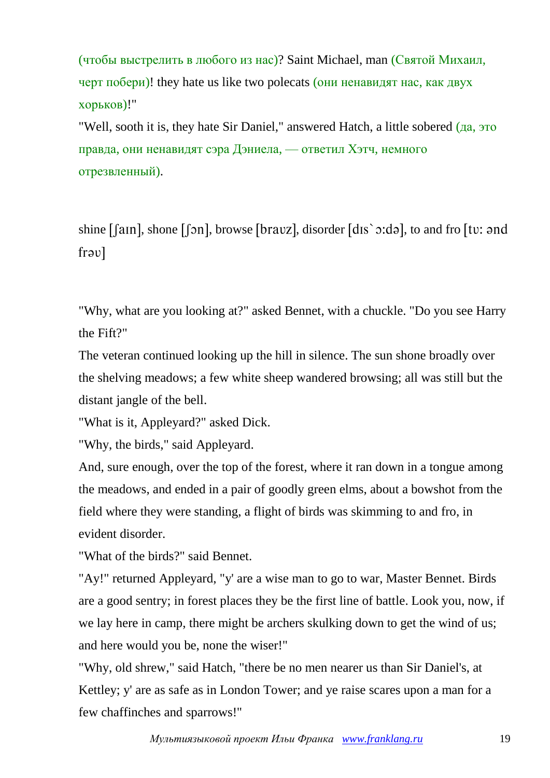(чтобы выстрелить в любого из нас)? Saint Michael, man (Святой Михаил, черт побери)! they hate us like two polecats (они ненавидят нас, как двух хорьков)!"

"Well, sooth it is, they hate Sir Daniel," answered Hatch, a little sobered (да, это правда, они ненавидят сэра Дэниела, — ответил Хэтч, немного отрезвленный).

shine  $\lceil \frac{\tan \pi}{\tan \tan \pi} \rceil$ , browse  $\lceil \frac{\tan \pi}{\tan \tan \pi} \rceil$ , disorder  $\lceil \frac{\tan \pi}{\tan \tan \pi} \rceil$ , to and fro  $\lceil \frac{\tan \pi}{\tan \tan \pi} \rceil$  $f$ rav]

"Why, what are you looking at?" asked Bennet, with a chuckle. "Do you see Harry the Fift?"

The veteran continued looking up the hill in silence. The sun shone broadly over the shelving meadows; a few white sheep wandered browsing; all was still but the distant jangle of the bell.

"What is it, Appleyard?" asked Dick.

"Why, the birds," said Appleyard.

And, sure enough, over the top of the forest, where it ran down in a tongue among the meadows, and ended in a pair of goodly green elms, about a bowshot from the field where they were standing, a flight of birds was skimming to and fro, in evident disorder.

"What of the birds?" said Bennet.

"Ay!" returned Appleyard, "y' are a wise man to go to war, Master Bennet. Birds are a good sentry; in forest places they be the first line of battle. Look you, now, if we lay here in camp, there might be archers skulking down to get the wind of us; and here would you be, none the wiser!"

"Why, old shrew," said Hatch, "there be no men nearer us than Sir Daniel's, at Kettley; y' are as safe as in London Tower; and ye raise scares upon a man for a few chaffinches and sparrows!"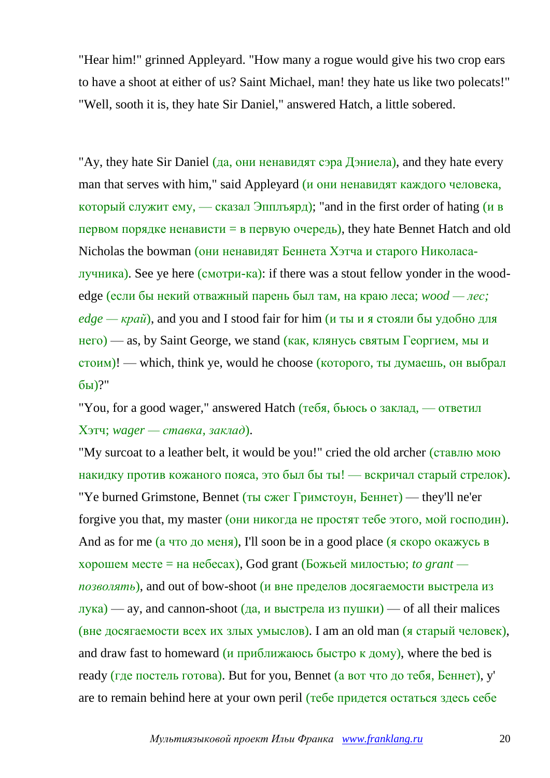"Hear him!" grinned Appleyard. "How many a rogue would give his two crop ears to have a shoot at either of us? Saint Michael, man! they hate us like two polecats!" "Well, sooth it is, they hate Sir Daniel," answered Hatch, a little sobered.

"Ay, they hate Sir Daniel (да, они ненавидят сэра Дэниела), and they hate every man that serves with him," said Appleyard (и они ненавидят каждого человека, который служит ему, — сказал Эпплъярд); "and in the first order of hating  $(u, u)$ первом порядке ненависти = в первую очередь), they hate Bennet Hatch and old Nicholas the bowman (они ненавидят Беннета Хэтча и старого Николасалучника). See ye here (смотри-ка): if there was a stout fellow yonder in the woodedge (если бы некий отважный парень был там, на краю леса; *wood — лес;*   $edge - \kappa$ рай), and you and I stood fair for him (и ты и я стояли бы удобно для  $H(-1)$  as, by Saint George, we stand (как, клянусь святым Георгием, мы и стоим)! — which, think ye, would he choose (которого, ты думаешь, он выбрал бы)?"

"You, for a good wager," answered Hatch (тебя, бьюсь о заклад, — ответил Хэтч; *wager — ставка, заклад*).

"My surcoat to a leather belt, it would be you!" cried the old archer (ставлю мою накидку против кожаного пояса, это был бы ты! — вскричал старый стрелок). "Ye burned Grimstone, Bennet (ты сжег Гримстоун, Беннет) — they'll ne'er forgive you that, my master (они никогда не простят тебе этого, мой господин). And as for me (а что до меня), I'll soon be in a good place (я скоро окажусь в хорошем месте = на небесах), God grant (Божьей милостью; *to grant позволять*), and out of bow-shoot (и вне пределов досягаемости выстрела из лука) — ay, and cannon-shoot (да, и выстрела из пушки) — of all their malices (вне досягаемости всех их злых умыслов). I am an old man (я старый человек), and draw fast to homeward (и приближаюсь быстро к дому), where the bed is ready (где постель готова). But for you, Bennet (а вот что до тебя, Беннет), y' are to remain behind here at your own peril (тебе придется остаться здесь себе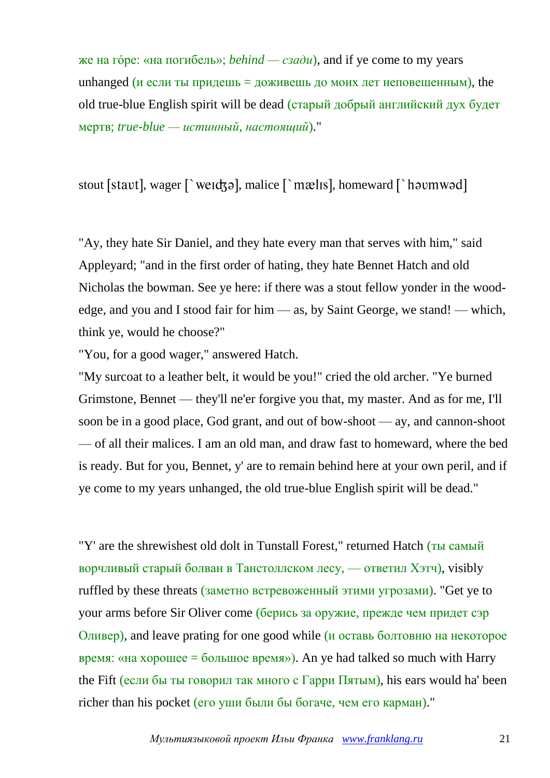же на го́ре: «на погибель»; *behind —*  $csa\partial u$ ), and if ye come to my years unhanged (и если ты придешь = доживешь до моих лет неповешенным), the old true-blue English spirit will be dead (старый добрый английский дух будет мертв; *true-blue — истинный, настоящий*)."

stout [stavt], wager  $\lceil \cdot \text{wend}$ ; malice  $\lceil \cdot \text{mæ} \rceil$ , homeward  $\lceil \cdot \text{hewmed} \rceil$ 

"Ay, they hate Sir Daniel, and they hate every man that serves with him," said Appleyard; "and in the first order of hating, they hate Bennet Hatch and old Nicholas the bowman. See ye here: if there was a stout fellow yonder in the woodedge, and you and I stood fair for him — as, by Saint George, we stand! — which, think ye, would he choose?"

"You, for a good wager," answered Hatch.

"My surcoat to a leather belt, it would be you!" cried the old archer. "Ye burned Grimstone, Bennet — they'll ne'er forgive you that, my master. And as for me, I'll soon be in a good place, God grant, and out of bow-shoot — ay, and cannon-shoot — of all their malices. I am an old man, and draw fast to homeward, where the bed is ready. But for you, Bennet, y' are to remain behind here at your own peril, and if ye come to my years unhanged, the old true-blue English spirit will be dead."

"Y' are the shrewishest old dolt in Tunstall Forest," returned Hatch (ты самый ворчливый старый болван в Танстоллском лесу, — ответил Хэтч), visibly ruffled by these threats (заметно встревоженный этими угрозами). "Get ye to your arms before Sir Oliver come (берись за оружие, прежде чем придет сэр Оливер), and leave prating for one good while (и оставь болтовню на некоторое время: «на хорошее  $= 6$ ольшое время»). An ye had talked so much with Harry the Fift (если бы ты говорил так много с Гарри Пятым), his ears would ha' been richer than his pocket (его уши были бы богаче, чем его карман)."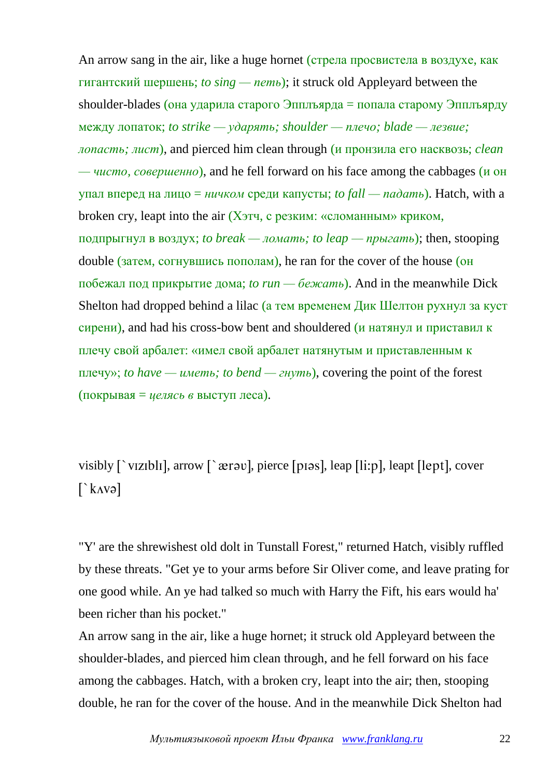An arrow sang in the air, like a huge hornet (стрела просвистела в воздухе, как гигантский шершень; *to sing — петь*); it struck old Appleyard between the shoulder-blades (она ударила старого Эпплъярда = попала старому Эпплъярду между лопаток; *to strike — ударять; shoulder — плечо; blade — лезвие; лопасть; лист*), and pierced him clean through (и пронзила его насквозь; *clean — чисто, совершенно*), and he fell forward on his face among the cabbages (и он упал вперед на лицо = *ничком* среди капусты; *to fall — падать*). Hatch, with a broken cry, leapt into the air (Хэтч, с резким: «сломанным» криком, подпрыгнул в воздух; *to break — ломать; to leap — прыгать*); then, stooping double (затем, согнувшись пополам), he ran for the cover of the house (он побежал под прикрытие дома; *to run — бежать*). And in the meanwhile Dick Shelton had dropped behind a lilac (а тем временем Дик Шелтон рухнул за куст сирени), and had his cross-bow bent and shouldered (и натянул и приставил к плечу свой арбалет: «имел свой арбалет натянутым и приставленным к плечу»; *to have — иметь; to bend — гнуть*), covering the point of the forest (покрывая = *целясь в* выступ леса).

visibly  $\lceil \text{vuzibil} \rceil$ , arrow  $\lceil \text{xrev} \rceil$ , pierce  $\lceil \text{pios} \rceil$ , leapt  $\lceil \text{lept} \rceil$ , cover  $\lceil KAVa \rceil$ 

"Y' are the shrewishest old dolt in Tunstall Forest," returned Hatch, visibly ruffled by these threats. "Get ye to your arms before Sir Oliver come, and leave prating for one good while. An ye had talked so much with Harry the Fift, his ears would ha' been richer than his pocket."

An arrow sang in the air, like a huge hornet; it struck old Appleyard between the shoulder-blades, and pierced him clean through, and he fell forward on his face among the cabbages. Hatch, with a broken cry, leapt into the air; then, stooping double, he ran for the cover of the house. And in the meanwhile Dick Shelton had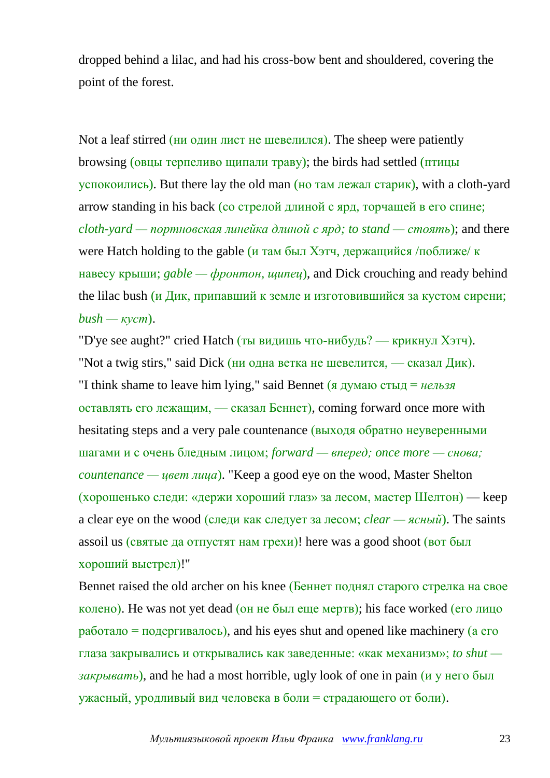dropped behind a lilac, and had his cross-bow bent and shouldered, covering the point of the forest.

Not a leaf stirred (ни один лист не шевелился). The sheep were patiently browsing (овцы терпеливо щипали траву); the birds had settled (птицы успокоились). But there lay the old man (но там лежал старик), with a cloth-yard arrow standing in his back (со стрелой длиной с ярд, торчащей в его спине; *cloth-yard — портновская линейка длиной с ярд; to stand — стоять*); and there were Hatch holding to the gable (и там был Хэтч, держащийся /поближе/ к навесу крыши; *gable — фронтон, щипец*), and Dick crouching and ready behind the lilac bush (и Дик, припавший к земле и изготовившийся за кустом сирени;  $bush - kvcm$ ).

"D'ye see aught?" cried Hatch (ты видишь что-нибудь? — крикнул Хэтч). "Not a twig stirs," said Dick (ни одна ветка не шевелится, — сказал Дик). "I think shame to leave him lying," said Bennet (я думаю стыд = *нельзя* оставлять его лежащим, — сказал Беннет), coming forward once more with hesitating steps and a very pale countenance (выходя обратно неуверенными шагами и с очень бледным лицом; *forward — вперед; once more — снова; countenance — цвет лица*). "Keep a good eye on the wood, Master Shelton (хорошенько следи: «держи хороший глаз» за лесом, мастер Шелтон) — keep a clear eye on the wood (следи как следует за лесом; *clear — ясный*). The saints assoil us (святые да отпустят нам грехи)! here was a good shoot (вот был хороший выстрел)!"

Bennet raised the old archer on his knee (Беннет поднял старого стрелка на свое колено). He was not yet dead (он не был еще мертв); his face worked (его лицо  $pa6$ отало = подергивалось), and his eyes shut and opened like machinery (a его глаза закрывались и открывались как заведенные: «как механизм»; *to shut закрывать*), and he had a most horrible, ugly look of one in pain (и у него был ужасный, уродливый вид человека в боли = страдающего от боли).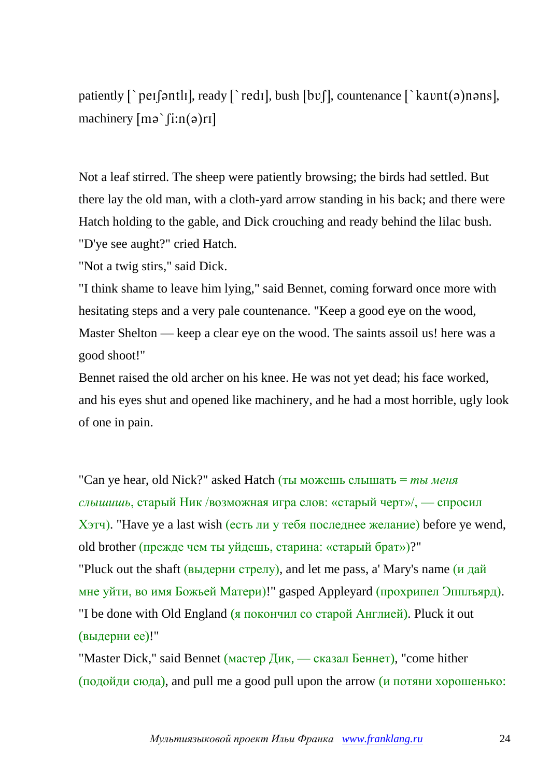patiently  $\lceil$  perfortlil, ready  $\lceil$  redil, bush  $\lceil$  bufl, countenance  $\lceil$  kaunt(a) nons. machinery  $\left[\text{m}\right)$   $\left[\text{i}: \text{n}\right)$   $\left[\text{o}\right)$ 

Not a leaf stirred. The sheep were patiently browsing; the birds had settled. But there lay the old man, with a cloth-yard arrow standing in his back; and there were Hatch holding to the gable, and Dick crouching and ready behind the lilac bush. "D'ye see aught?" cried Hatch.

"Not a twig stirs," said Dick.

"I think shame to leave him lying," said Bennet, coming forward once more with hesitating steps and a very pale countenance. "Keep a good eye on the wood, Master Shelton — keep a clear eye on the wood. The saints assoil us! here was a good shoot!"

Bennet raised the old archer on his knee. He was not yet dead; his face worked, and his eyes shut and opened like machinery, and he had a most horrible, ugly look of one in pain.

"Can ye hear, old Nick?" asked Hatch (ты можешь слышать = *ты меня слышишь*, старый Ник /возможная игра слов: «старый черт»/, — спросил Хэтч). "Have ye a last wish (есть ли у тебя последнее желание) before ye wend, old brother (прежде чем ты уйдешь, старина: «старый брат»)?" "Pluck out the shaft (выдерни стрелу), and let me pass, a' Mary's name (и дай мне уйти, во имя Божьей Матери)!" gasped Appleyard (прохрипел Эпплъярд). "I be done with Old England (я покончил со старой Англией). Pluck it out (выдерни ее)!"

"Master Dick," said Bennet (мастер Дик, — сказал Беннет), "come hither (подойди сюда), and pull me a good pull upon the arrow (и потяни хорошенько: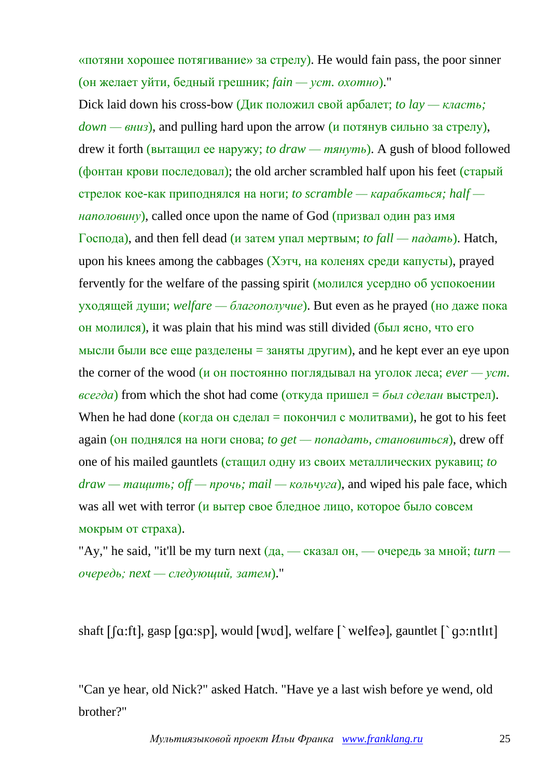«потяни хорошее потягивание» за стрелу). He would fain pass, the poor sinner (он желает уйти, бедный грешник; *fain — уст. охотно*)."

Dick laid down his cross-bow (Дик положил свой арбалет; *to lay — класть;*   $down g_{H}$ , and pulling hard upon the arrow ( $\mu$  потянув сильно за стрелу), drew it forth (вытащил ее наружу; *to draw — тянуть*). A gush of blood followed (фонтан крови последовал); the old archer scrambled half upon his feet (старый стрелок кое-как приподнялся на ноги; *to scramble — карабкаться; half наполовину*), called once upon the name of God (призвал один раз имя Господа), and then fell dead (и затем упал мертвым; *to fall — падать*). Hatch, upon his knees among the cabbages (Хэтч, на коленях среди капусты), prayed fervently for the welfare of the passing spirit (молился усердно об успокоении уходящей души; *welfare — благополучие*). But even as he prayed (но даже пока он молился), it was plain that his mind was still divided (был ясно, что его мысли были все еще разделены = заняты другим), and he kept ever an eye upon the corner of the wood (и он постоянно поглядывал на уголок леса; *ever — уст. всегда*) from which the shot had come (откуда пришел = *был сделан* выстрел). When he had done (когда он сделал  $= \text{nov}\,\text{ow}\,\text{w}$  с молитвами), he got to his feet again (он поднялся на ноги снова; *to get — попадать, становиться*), drew off one of his mailed gauntlets (стащил одну из своих металлических рукавиц; *to draw — тащить; off — прочь; mail — кольчуга*), and wiped his pale face, which was all wet with terror (и вытер свое бледное лицо, которое было совсем мокрым от страха).

"Ay," he said, "it'll be my turn next (да, — сказал он, — очередь за мной; *turn очередь; next — следующий, затем*)."

shaft  $\lceil \pi:ft \rceil$ , gasp  $\lceil \pi:sp \rceil$ , would  $\lceil \pi:gt \rceil$ , welfare  $\lceil \pi:sp \rceil$ , gauntlet  $\lceil \pi:sp \rceil$ 

"Can ye hear, old Nick?" asked Hatch. "Have ye a last wish before ye wend, old brother?"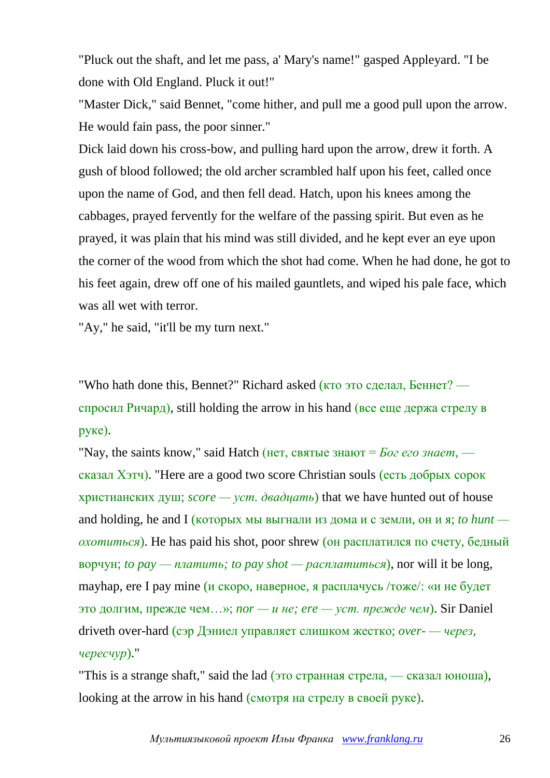"Pluck out the shaft, and let me pass, a' Mary's name!" gasped Appleyard. "I be done with Old England. Pluck it out!"

"Master Dick," said Bennet, "come hither, and pull me a good pull upon the arrow. He would fain pass, the poor sinner."

Dick laid down his cross-bow, and pulling hard upon the arrow, drew it forth. A gush of blood followed; the old archer scrambled half upon his feet, called once upon the name of God, and then fell dead. Hatch, upon his knees among the cabbages, prayed fervently for the welfare of the passing spirit. But even as he prayed, it was plain that his mind was still divided, and he kept ever an eye upon the corner of the wood from which the shot had come. When he had done, he got to his feet again, drew off one of his mailed gauntlets, and wiped his pale face, which was all wet with terror.

"Ay," he said, "it'll be my turn next."

"Who hath done this, Bennet?" Richard asked (кто это сделал, Беннет? спросил Ричард), still holding the arrow in his hand (все еще держа стрелу в руке).

"Nay, the saints know," said Hatch (нет, святые знают = *Бог его знает*, сказал Хэтч). "Here are a good two score Christian souls (есть добрых сорок христианских душ; *score — уст. двадцать*) that we have hunted out of house and holding, he and I (которых мы выгнали из дома и с земли, он и я; *to hunt охотиться*). He has paid his shot, poor shrew (он расплатился по счету, бедный ворчун; *to pay — платить; to pay shot — расплатиться*), nor will it be long, mayhap, ere I pay mine (и скоро, наверное, я расплачусь /тоже/: «и не будет это долгим, прежде чем…»; *nor — и не; ere — уст. прежде чем*). Sir Daniel driveth over-hard (сэр Дэниел управляет слишком жестко; *over-* — *через*, *чересчур*)."

"This is a strange shaft," said the lad (это странная стрела, — сказал юноша), looking at the arrow in his hand (смотря на стрелу в своей руке).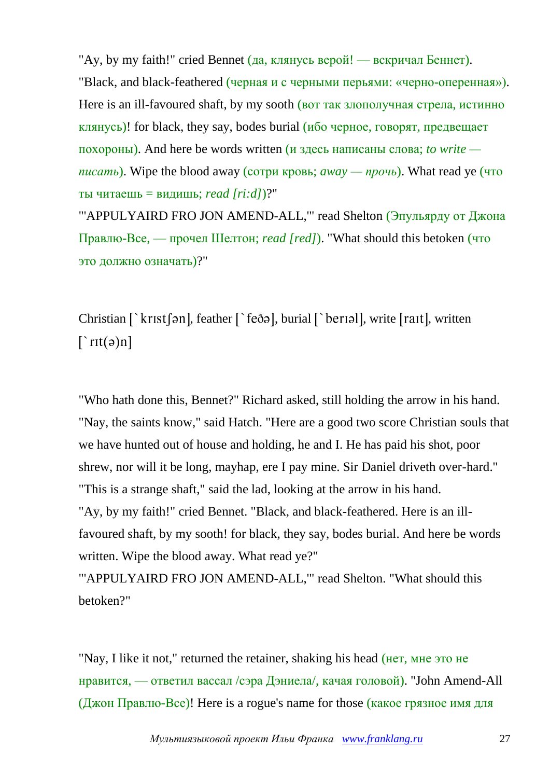"Ay, by my faith!" cried Bennet (да, клянусь верой! — вскричал Беннет). "Black, and black-feathered (черная и с черными перьями: «черно-оперенная»). Here is an ill-favoured shaft, by my sooth (вот так злополучная стрела, истинно клянусь)! for black, they say, bodes burial (ибо черное, говорят, предвещает похороны). And here be words written (и здесь написаны слова; *to write писать*). Wipe the blood away (сотри кровь; *away — прочь*). What read ye (что ты читаешь = видишь; *read [ri:d]*)?"

"'APPULYAIRD FRO JON AMEND-ALL,'" read Shelton (Эпульярду от Джона Правлю-Все, — прочел Шелтон; *read [red]*). "What should this betoken (что это должно означать)?"

Christian  $\lceil \cdot \text{krist} \rceil$  , feather  $\lceil \cdot \text{feða} \rceil$ , burial  $\lceil \cdot \text{berroll} \rceil$ , write  $\lceil \text{ratl} \rceil$ , written  $\lceil \hat{r} \rceil$ 

"Who hath done this, Bennet?" Richard asked, still holding the arrow in his hand. "Nay, the saints know," said Hatch. "Here are a good two score Christian souls that we have hunted out of house and holding, he and I. He has paid his shot, poor shrew, nor will it be long, mayhap, ere I pay mine. Sir Daniel driveth over-hard." "This is a strange shaft," said the lad, looking at the arrow in his hand. "Ay, by my faith!" cried Bennet. "Black, and black-feathered. Here is an illfavoured shaft, by my sooth! for black, they say, bodes burial. And here be words written. Wipe the blood away. What read ye?"

"'APPULYAIRD FRO JON AMEND-ALL,'" read Shelton. "What should this betoken?"

"Nay, I like it not," returned the retainer, shaking his head (нет, мне это не нравится, — ответил вассал /сэра Дэниела/, качая головой). "John Amend-All (Джон Правлю-Все)! Here is a rogue's name for those (какое грязное имя для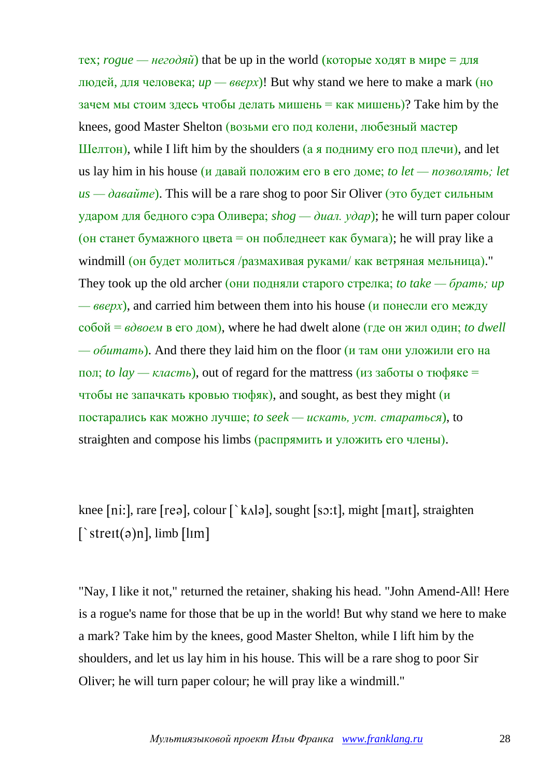тех; *rogue — негодяй*) that be up in the world (которые ходят в мире = для людей, для человека; *up — вверх*)! But why stand we here to make a mark (но зачем мы стоим здесь чтобы делать мишень = как мишень)? Take him by the knees, good Master Shelton (возьми его под колени, любезный мастер Шелтон), while I lift him by the shoulders (а я подниму его под плечи), and let us lay him in his house (и давай положим его в его доме; *to let — позволять; let us — давайте*). This will be a rare shog to poor Sir Oliver (это будет сильным ударом для бедного сэра Оливера; *shog — диал. удар*); he will turn paper colour (он станет бумажного цвета = он побледнеет как бумага); he will pray like a windmill (он будет молиться /размахивая руками/ как ветряная мельница)." They took up the old archer (они подняли старого стрелка; *to take — брать; up — вверх*), and carried him between them into his house (и понесли его между собой = *вдвоем* в его дом), where he had dwelt alone (где он жил один; *to dwell — обитать*). And there they laid him on the floor (и там они уложили его на пол; *to lay — класть*), out of regard for the mattress (из заботы о тюфяке = чтобы не запачкать кровью тюфяк), and sought, as best they might  $(u)$ постарались как можно лучше; *to seek — искать, уст. стараться*), to straighten and compose his limbs (распрямить и уложить его члены).

knee [ni:], rare  $[{\text{real}}, {\text{colour}} \upharpoonright {\text{kalo}}]$ , sought  $[{\text{so:}};{\text{real}}, {\text{might}}]$ , straighten  $\lceil$ 'stre $\text{lt}(\vartheta)$ n], limb  $\lceil \text{lm} \rceil$ 

"Nay, I like it not," returned the retainer, shaking his head. "John Amend-All! Here is a rogue's name for those that be up in the world! But why stand we here to make a mark? Take him by the knees, good Master Shelton, while I lift him by the shoulders, and let us lay him in his house. This will be a rare shog to poor Sir Oliver; he will turn paper colour; he will pray like a windmill."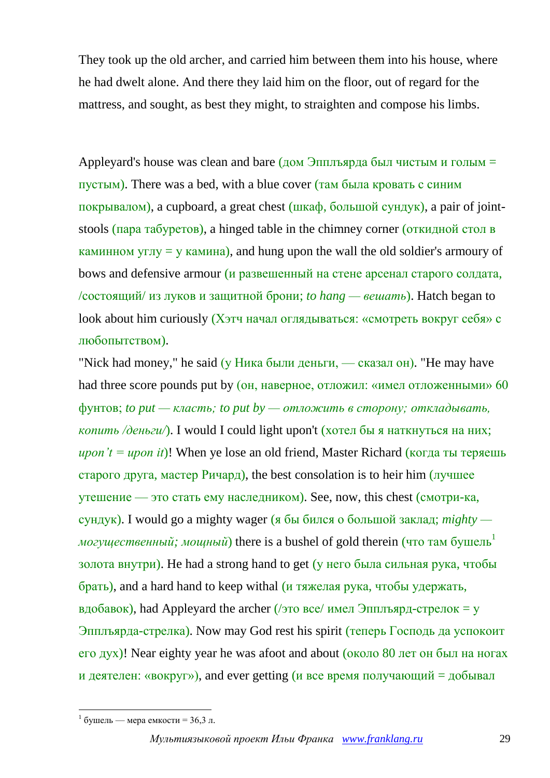They took up the old archer, and carried him between them into his house, where he had dwelt alone. And there they laid him on the floor, out of regard for the mattress, and sought, as best they might, to straighten and compose his limbs.

Appleyard's house was clean and bare  $(A \circ \mathcal{A})$   $\exists$ пплъярда был чистым и голым = пустым). There was a bed, with a blue cover (там была кровать с синим покрывалом), a cupboard, a great chest (шкаф, большой сундук), a pair of jointstools (пара табуретов), a hinged table in the chimney corner (откидной стол в каминном  $y_{\text{T,IV}} = y$  камина), and hung upon the wall the old soldier's armoury of bows and defensive armour (и развешенный на стене арсенал старого солдата, /состоящий/ из луков и защитной брони; *to hang — вешать*). Hatch began to look about him curiously (Хэтч начал оглядываться: «смотреть вокруг себя» с любопытством).

"Nick had money," he said (у Ника были деньги, — сказал он). "He may have had three score pounds put by (он, наверное, отложил: «имел отложенными» 60 фунтов; *to put — класть; to put by — отложить в сторону; откладывать, копить /деньги/*). I would I could light upon't (хотел бы я наткнуться на них; *upon't = upon it*)! When ye lose an old friend, Master Richard (когда ты теряешь старого друга, мастер Ричард), the best consolation is to heir him (лучшее утешение — это стать ему наследником). See, now, this chest (смотри-ка, сундук). I would go a mighty wager (я бы бился о большой заклад; *mighty могущественный; мошный*) there is a bushel of gold therein (что там бушель<sup>1</sup> золота внутри). He had a strong hand to get (у него была сильная рука, чтобы брать), and a hard hand to keep withal (и тяжелая рука, чтобы удержать, вдобавок), had Appleyard the archer (/это все/ имел Эпплъярд-стрелок = у Эпплъярда-стрелка). Now may God rest his spirit (теперь Господь да успокоит его дух)! Near eighty year he was afoot and about (около 80 лет он был на ногах и деятелен: «вокруг»), and ever getting (и все время получающий = добывал

 $\frac{1}{1}$ бушель — мера емкости = 36,3 л.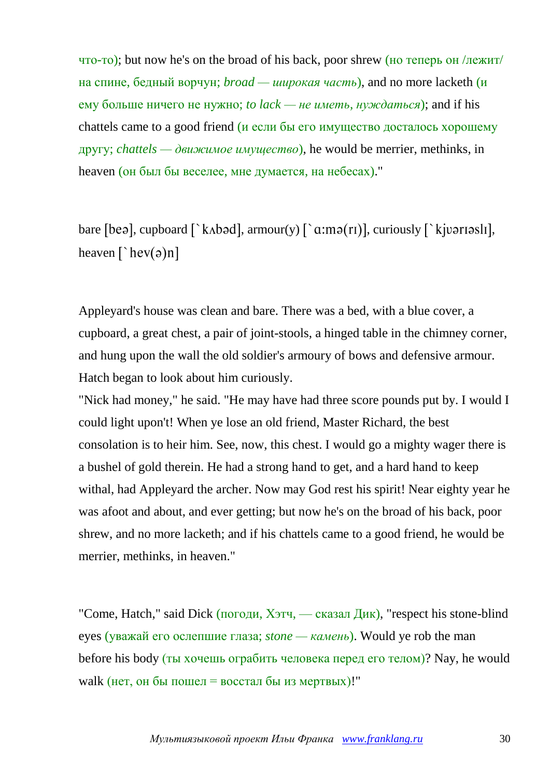что-то); but now he's on the broad of his back, poor shrew (но теперь он /лежит/ на спине, бедный ворчун; *broad — широкая часть*), and no more lacketh (и ему больше ничего не нужно; *to lack — не иметь, нуждаться*); and if his chattels came to a good friend (и если бы его имущество досталось хорошему другу; *chattels — движимое имущество*), he would be merrier, methinks, in heaven (он был бы веселее, мне думается, на небесах)."

bare [beə], cupboard  $\lceil \n\rangle$  k $\Delta$ bəd], armour(y)  $\lceil \n\rangle$  a:mə $(\rceil)$ ], curiously  $\lceil \n\rangle$  kivər rəsli], heaven  $\lceil \text{hev}(a) \text{n} \rceil$ 

Appleyard's house was clean and bare. There was a bed, with a blue cover, a cupboard, a great chest, a pair of joint-stools, a hinged table in the chimney corner, and hung upon the wall the old soldier's armoury of bows and defensive armour. Hatch began to look about him curiously.

"Nick had money," he said. "He may have had three score pounds put by. I would I could light upon't! When ye lose an old friend, Master Richard, the best consolation is to heir him. See, now, this chest. I would go a mighty wager there is a bushel of gold therein. He had a strong hand to get, and a hard hand to keep withal, had Appleyard the archer. Now may God rest his spirit! Near eighty year he was afoot and about, and ever getting; but now he's on the broad of his back, poor shrew, and no more lacketh; and if his chattels came to a good friend, he would be merrier, methinks, in heaven."

"Come, Hatch," said Dick (погоди, Хэтч, — сказал Дик), "respect his stone-blind eyes (уважай его ослепшие глаза; *stone — камень*). Would ye rob the man before his body (ты хочешь ограбить человека перед его телом)? Nay, he would walk (нет, он бы пошел = восстал бы из мертвых)!"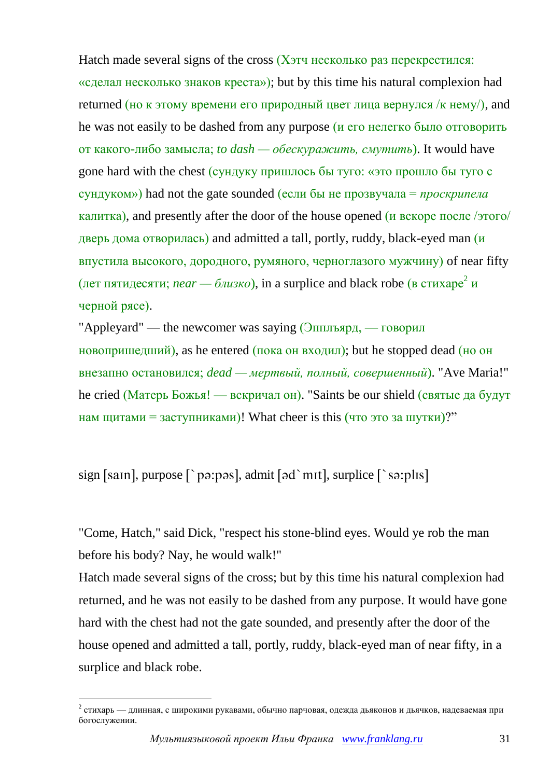Hatch made several signs of the cross (Хэтч несколько раз перекрестился: «сделал несколько знаков креста»); but by this time his natural complexion had returned (но к этому времени его природный цвет лица вернулся /к нему/), and he was not easily to be dashed from any purpose (и его нелегко было отговорить от какого-либо замысла; *to dash — обескуражить, смутить*). It would have gone hard with the chest (сундуку пришлось бы туго: «это прошло бы туго с сундуком») had not the gate sounded (если бы не прозвучала = *проскрипела* калитка), and presently after the door of the house opened (и вскоре после /этого/ дверь дома отворилась) and admitted a tall, portly, ruddy, black-eyed man (и впустила высокого, дородного, румяного, черноглазого мужчину) of near fifty (лет пятидесяти; *near* —  $\bar{6}n$ изко), in a surplice and black robe (в стихаре<sup>2</sup> и черной рясе).

"Appleyard" — the newcomer was saying  $(3\pi\pi\pi\mathbf{B})\mathbf{A}$  — говорил новопришедший), as he entered  $(n_0x_0 + nx_0)$ ; but he stopped dead  $(n_0)$  on внезапно остановился; *dead — мертвый, полный, совершенный*). "Ave Maria!" he cried (Матерь Божья! — вскричал он). "Saints be our shield (святые да будут нам щитами = заступниками)! What cheer is this (что это за шутки)?"

sign [sain], purpose  $\lceil$  `pa: pas], admit  $\lceil$  ad `mit], surplice  $\lceil$  `sa: plis]

"Come, Hatch," said Dick, "respect his stone-blind eyes. Would ye rob the man before his body? Nay, he would walk!"

Hatch made several signs of the cross; but by this time his natural complexion had returned, and he was not easily to be dashed from any purpose. It would have gone hard with the chest had not the gate sounded, and presently after the door of the house opened and admitted a tall, portly, ruddy, black-eyed man of near fifty, in a surplice and black robe.

1

<sup>&</sup>lt;sup>2</sup> стихарь — длинная, с широкими рукавами, обычно парчовая, одежда дьяконов и дьячков, надеваемая при богослужении.